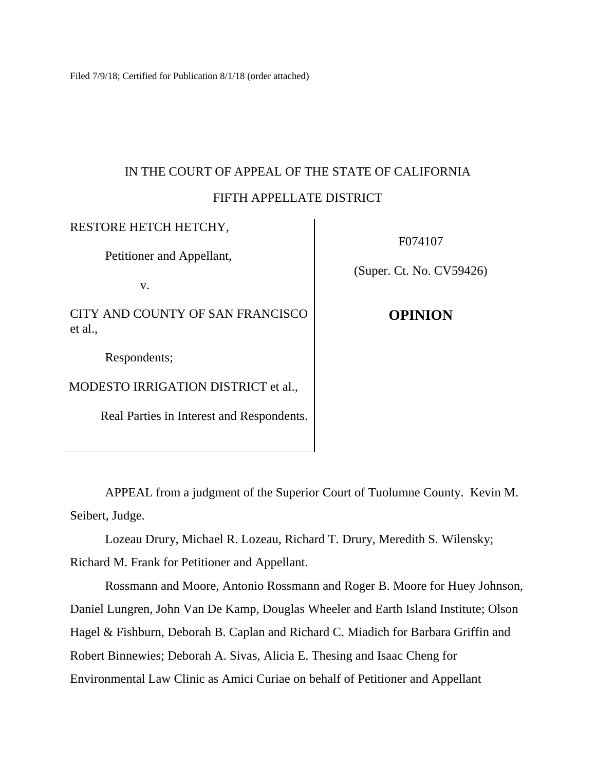Filed 7/9/18; Certified for Publication 8/1/18 (order attached)

# IN THE COURT OF APPEAL OF THE STATE OF CALIFORNIA FIFTH APPELLATE DISTRICT

RESTORE HETCH HETCHY, Petitioner and Appellant, v. CITY AND COUNTY OF SAN FRANCISCO et al., Respondents; MODESTO IRRIGATION DISTRICT et al., Real Parties in Interest and Respondents.

F074107

(Super. Ct. No. CV59426)

**OPINION**

APPEAL from a judgment of the Superior Court of Tuolumne County. Kevin M. Seibert, Judge.

Lozeau Drury, Michael R. Lozeau, Richard T. Drury, Meredith S. Wilensky; Richard M. Frank for Petitioner and Appellant.

Rossmann and Moore, Antonio Rossmann and Roger B. Moore for Huey Johnson, Daniel Lungren, John Van De Kamp, Douglas Wheeler and Earth Island Institute; Olson Hagel & Fishburn, Deborah B. Caplan and Richard C. Miadich for Barbara Griffin and Robert Binnewies; Deborah A. Sivas, Alicia E. Thesing and Isaac Cheng for Environmental Law Clinic as Amici Curiae on behalf of Petitioner and Appellant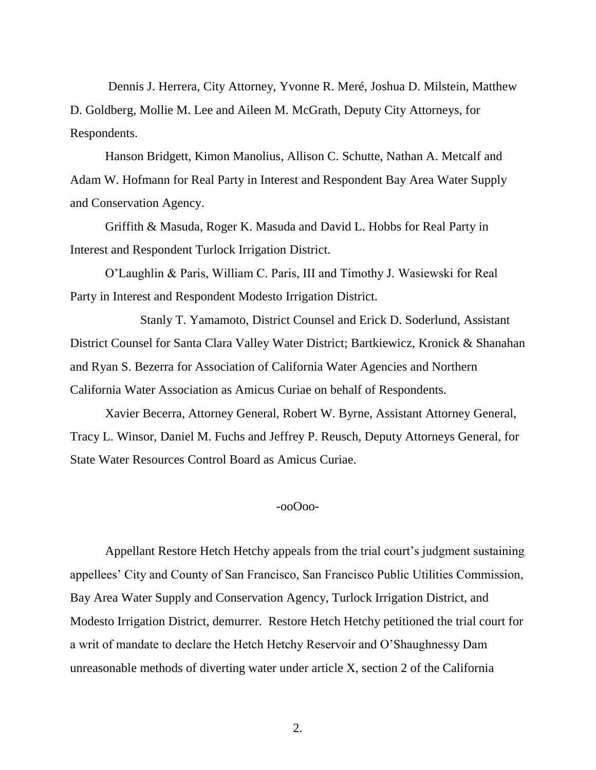Dennis J. Herrera, City Attorney, Yvonne R. Meré, Joshua D. Milstein, Matthew D. Goldberg, Mollie M. Lee and Aileen M. McGrath, Deputy City Attorneys, for Respondents.

Hanson Bridgett, Kimon Manolius, Allison C. Schutte, Nathan A. Metcalf and Adam W. Hofmann for Real Party in Interest and Respondent Bay Area Water Supply and Conservation Agency.

Griffith & Masuda, Roger K. Masuda and David L. Hobbs for Real Party in Interest and Respondent Turlock Irrigation District.

O'Laughlin & Paris, William C. Paris, III and Timothy J. Wasiewski for Real Party in Interest and Respondent Modesto Irrigation District.

Stanly T. Yamamoto, District Counsel and Erick D. Soderlund, Assistant District Counsel for Santa Clara Valley Water District; Bartkiewicz, Kronick & Shanahan and Ryan S. Bezerra for Association of California Water Agencies and Northern California Water Association as Amicus Curiae on behalf of Respondents.

Xavier Becerra, Attorney General, Robert W. Byrne, Assistant Attorney General, Tracy L. Winsor, Daniel M. Fuchs and Jeffrey P. Reusch, Deputy Attorneys General, for State Water Resources Control Board as Amicus Curiae.

#### -ooOoo-

Appellant Restore Hetch Hetchy appeals from the trial court's judgment sustaining appellees' City and County of San Francisco, San Francisco Public Utilities Commission, Bay Area Water Supply and Conservation Agency, Turlock Irrigation District, and Modesto Irrigation District, demurrer. Restore Hetch Hetchy petitioned the trial court for a writ of mandate to declare the Hetch Hetchy Reservoir and O'Shaughnessy Dam unreasonable methods of diverting water under article X, section 2 of the California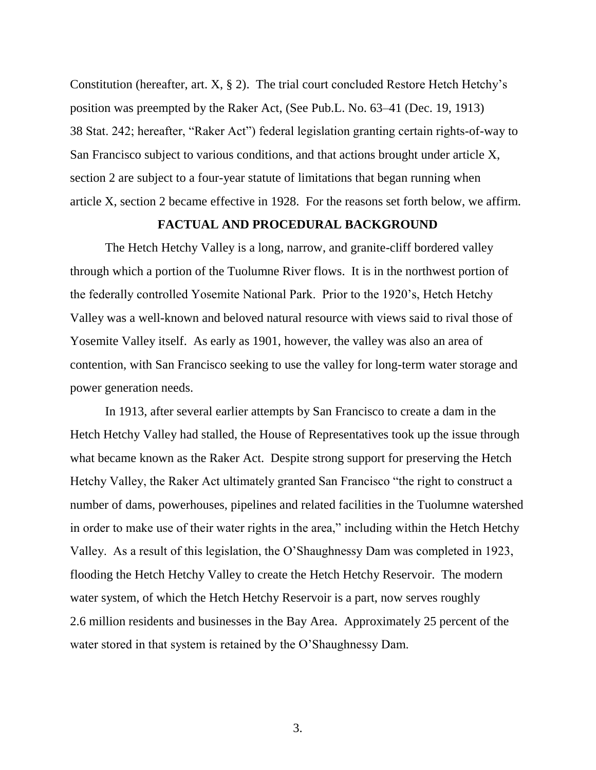Constitution (hereafter, art.  $X$ ,  $\S$  2). The trial court concluded Restore Hetch Hetchy's position was preempted by the Raker Act, (See Pub.L. No. 63–41 (Dec. 19, 1913) 38 Stat. 242; hereafter, "Raker Act") federal legislation granting certain rights-of-way to San Francisco subject to various conditions, and that actions brought under article X, section 2 are subject to a four-year statute of limitations that began running when article X, section 2 became effective in 1928. For the reasons set forth below, we affirm.

# **FACTUAL AND PROCEDURAL BACKGROUND**

The Hetch Hetchy Valley is a long, narrow, and granite-cliff bordered valley through which a portion of the Tuolumne River flows. It is in the northwest portion of the federally controlled Yosemite National Park. Prior to the 1920's, Hetch Hetchy Valley was a well-known and beloved natural resource with views said to rival those of Yosemite Valley itself. As early as 1901, however, the valley was also an area of contention, with San Francisco seeking to use the valley for long-term water storage and power generation needs.

In 1913, after several earlier attempts by San Francisco to create a dam in the Hetch Hetchy Valley had stalled, the House of Representatives took up the issue through what became known as the Raker Act. Despite strong support for preserving the Hetch Hetchy Valley, the Raker Act ultimately granted San Francisco "the right to construct a number of dams, powerhouses, pipelines and related facilities in the Tuolumne watershed in order to make use of their water rights in the area," including within the Hetch Hetchy Valley. As a result of this legislation, the O'Shaughnessy Dam was completed in 1923, flooding the Hetch Hetchy Valley to create the Hetch Hetchy Reservoir. The modern water system, of which the Hetch Hetchy Reservoir is a part, now serves roughly 2.6 million residents and businesses in the Bay Area. Approximately 25 percent of the water stored in that system is retained by the O'Shaughnessy Dam.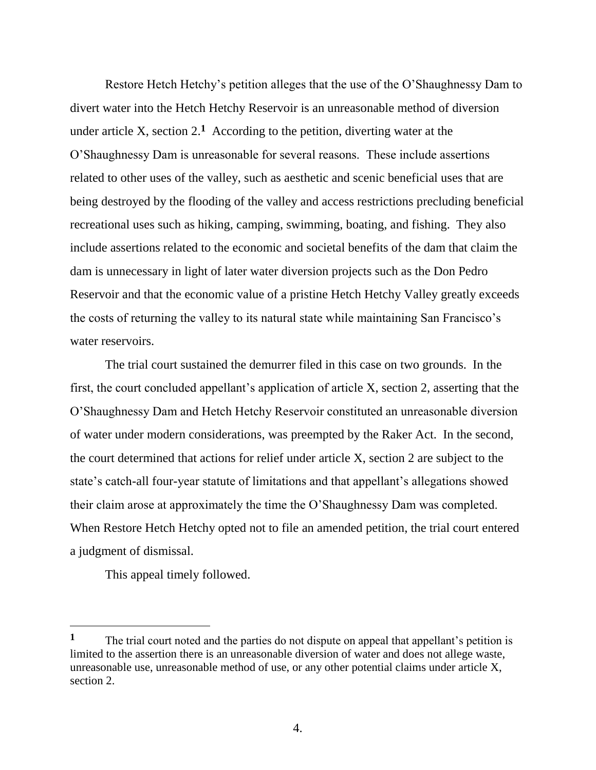Restore Hetch Hetchy's petition alleges that the use of the O'Shaughnessy Dam to divert water into the Hetch Hetchy Reservoir is an unreasonable method of diversion under article X, section  $2<sup>1</sup>$  According to the petition, diverting water at the O'Shaughnessy Dam is unreasonable for several reasons. These include assertions related to other uses of the valley, such as aesthetic and scenic beneficial uses that are being destroyed by the flooding of the valley and access restrictions precluding beneficial recreational uses such as hiking, camping, swimming, boating, and fishing. They also include assertions related to the economic and societal benefits of the dam that claim the dam is unnecessary in light of later water diversion projects such as the Don Pedro Reservoir and that the economic value of a pristine Hetch Hetchy Valley greatly exceeds the costs of returning the valley to its natural state while maintaining San Francisco's water reservoirs.

The trial court sustained the demurrer filed in this case on two grounds. In the first, the court concluded appellant's application of article X, section 2, asserting that the O'Shaughnessy Dam and Hetch Hetchy Reservoir constituted an unreasonable diversion of water under modern considerations, was preempted by the Raker Act. In the second, the court determined that actions for relief under article X, section 2 are subject to the state's catch-all four-year statute of limitations and that appellant's allegations showed their claim arose at approximately the time the O'Shaughnessy Dam was completed. When Restore Hetch Hetchy opted not to file an amended petition, the trial court entered a judgment of dismissal.

This appeal timely followed.

 $\overline{a}$ 

<sup>&</sup>lt;sup>1</sup> The trial court noted and the parties do not dispute on appeal that appellant's petition is limited to the assertion there is an unreasonable diversion of water and does not allege waste, unreasonable use, unreasonable method of use, or any other potential claims under article X, section 2.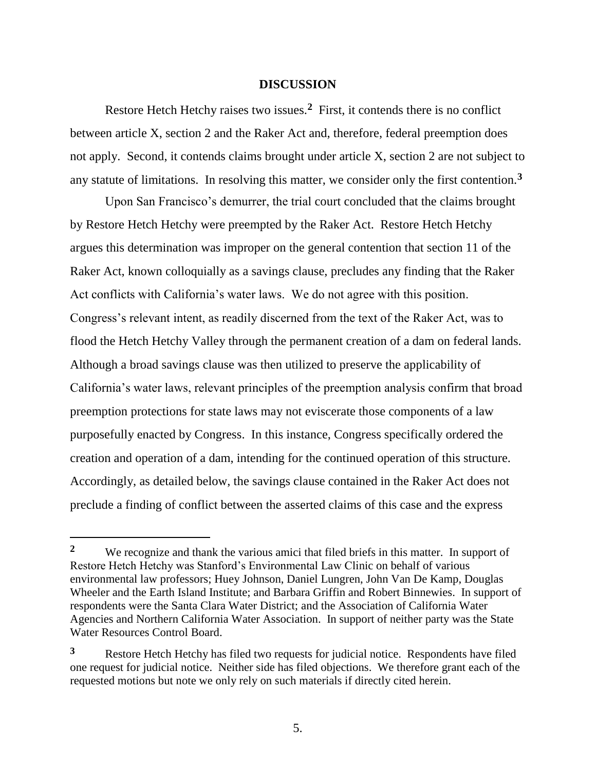#### **DISCUSSION**

Restore Hetch Hetchy raises two issues.**<sup>2</sup>** First, it contends there is no conflict between article X, section 2 and the Raker Act and, therefore, federal preemption does not apply. Second, it contends claims brought under article X, section 2 are not subject to any statute of limitations. In resolving this matter, we consider only the first contention.**<sup>3</sup>**

Upon San Francisco's demurrer, the trial court concluded that the claims brought by Restore Hetch Hetchy were preempted by the Raker Act. Restore Hetch Hetchy argues this determination was improper on the general contention that section 11 of the Raker Act, known colloquially as a savings clause, precludes any finding that the Raker Act conflicts with California's water laws. We do not agree with this position. Congress's relevant intent, as readily discerned from the text of the Raker Act, was to flood the Hetch Hetchy Valley through the permanent creation of a dam on federal lands. Although a broad savings clause was then utilized to preserve the applicability of California's water laws, relevant principles of the preemption analysis confirm that broad preemption protections for state laws may not eviscerate those components of a law purposefully enacted by Congress. In this instance, Congress specifically ordered the creation and operation of a dam, intending for the continued operation of this structure. Accordingly, as detailed below, the savings clause contained in the Raker Act does not preclude a finding of conflict between the asserted claims of this case and the express

**<sup>2</sup>** We recognize and thank the various amici that filed briefs in this matter. In support of Restore Hetch Hetchy was Stanford's Environmental Law Clinic on behalf of various environmental law professors; Huey Johnson, Daniel Lungren, John Van De Kamp, Douglas Wheeler and the Earth Island Institute; and Barbara Griffin and Robert Binnewies. In support of respondents were the Santa Clara Water District; and the Association of California Water Agencies and Northern California Water Association. In support of neither party was the State Water Resources Control Board.

**<sup>3</sup>** Restore Hetch Hetchy has filed two requests for judicial notice. Respondents have filed one request for judicial notice. Neither side has filed objections. We therefore grant each of the requested motions but note we only rely on such materials if directly cited herein.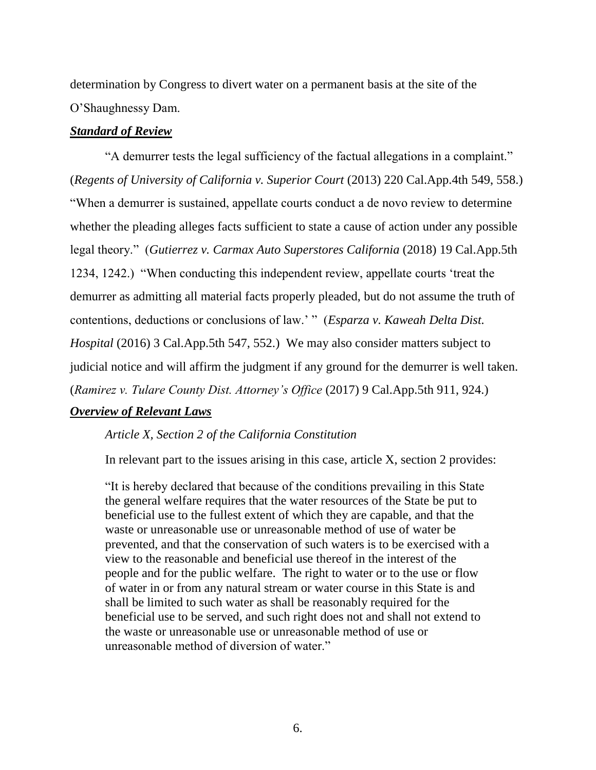determination by Congress to divert water on a permanent basis at the site of the O'Shaughnessy Dam.

### *Standard of Review*

"A demurrer tests the legal sufficiency of the factual allegations in a complaint." (*Regents of University of California v. Superior Court* (2013) 220 Cal.App.4th 549, 558.) "When a demurrer is sustained, appellate courts conduct a de novo review to determine whether the pleading alleges facts sufficient to state a cause of action under any possible legal theory." (*Gutierrez v. Carmax Auto Superstores California* (2018) 19 Cal.App.5th 1234, 1242.) "When conducting this independent review, appellate courts 'treat the demurrer as admitting all material facts properly pleaded, but do not assume the truth of contentions, deductions or conclusions of law.' " (*Esparza v. Kaweah Delta Dist. Hospital* (2016) 3 Cal.App.5th 547, 552.) We may also consider matters subject to judicial notice and will affirm the judgment if any ground for the demurrer is well taken. (*Ramirez v. Tulare County Dist. Attorney's Office* (2017) 9 Cal.App.5th 911, 924.) *Overview of Relevant Laws*

## *Article X, Section 2 of the California Constitution*

In relevant part to the issues arising in this case, article X, section 2 provides:

"It is hereby declared that because of the conditions prevailing in this State the general welfare requires that the water resources of the State be put to beneficial use to the fullest extent of which they are capable, and that the waste or unreasonable use or unreasonable method of use of water be prevented, and that the conservation of such waters is to be exercised with a view to the reasonable and beneficial use thereof in the interest of the people and for the public welfare. The right to water or to the use or flow of water in or from any natural stream or water course in this State is and shall be limited to such water as shall be reasonably required for the beneficial use to be served, and such right does not and shall not extend to the waste or unreasonable use or unreasonable method of use or unreasonable method of diversion of water."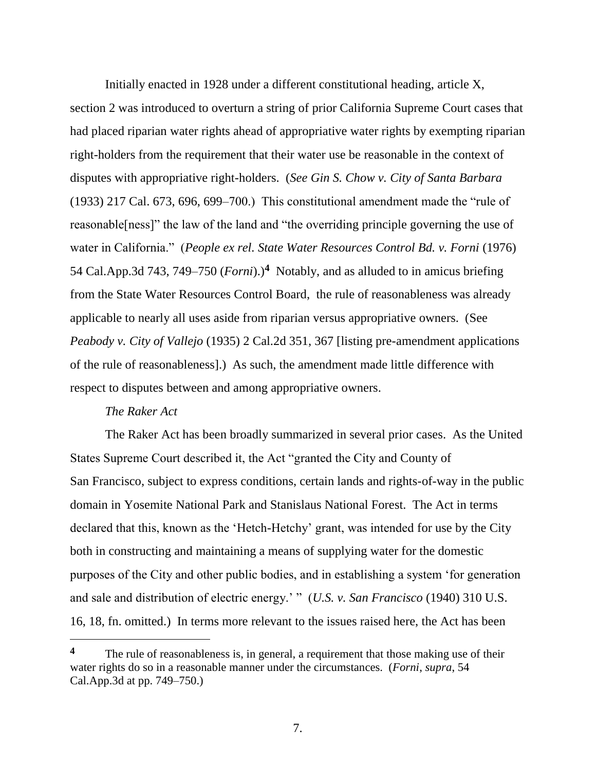Initially enacted in 1928 under a different constitutional heading, article X, section 2 was introduced to overturn a string of prior California Supreme Court cases that had placed riparian water rights ahead of appropriative water rights by exempting riparian right-holders from the requirement that their water use be reasonable in the context of disputes with appropriative right-holders. (*See Gin S. Chow v. City of Santa Barbara*  (1933) 217 Cal. 673, 696, 699–700.) This constitutional amendment made the "rule of reasonable[ness]" the law of the land and "the overriding principle governing the use of water in California." (*People ex rel. State Water Resources Control Bd. v. Forni* (1976) 54 Cal.App.3d 743, 749–750 (*Forni*).)**<sup>4</sup>** Notably, and as alluded to in amicus briefing from the State Water Resources Control Board, the rule of reasonableness was already applicable to nearly all uses aside from riparian versus appropriative owners. (See *Peabody v. City of Vallejo* (1935) 2 Cal.2d 351, 367 [listing pre-amendment applications of the rule of reasonableness].) As such, the amendment made little difference with respect to disputes between and among appropriative owners.

#### *The Raker Act*

The Raker Act has been broadly summarized in several prior cases. As the United States Supreme Court described it, the Act "granted the City and County of San Francisco, subject to express conditions, certain lands and rights-of-way in the public domain in Yosemite National Park and Stanislaus National Forest. The Act in terms declared that this, known as the 'Hetch-Hetchy' grant, was intended for use by the City both in constructing and maintaining a means of supplying water for the domestic purposes of the City and other public bodies, and in establishing a system 'for generation and sale and distribution of electric energy.' " (*U.S. v. San Francisco* (1940) 310 U.S. 16, 18, fn. omitted.) In terms more relevant to the issues raised here, the Act has been

<sup>&</sup>lt;sup>4</sup> The rule of reasonableness is, in general, a requirement that those making use of their water rights do so in a reasonable manner under the circumstances. (*Forni*, *supra*, 54 Cal.App.3d at pp. 749–750.)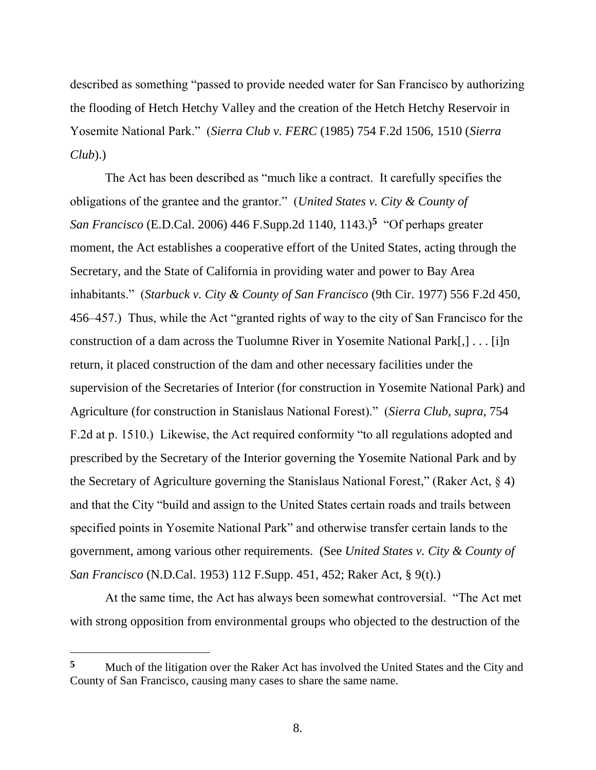described as something "passed to provide needed water for San Francisco by authorizing the flooding of Hetch Hetchy Valley and the creation of the Hetch Hetchy Reservoir in Yosemite National Park." (*Sierra Club v. FERC* (1985) 754 F.2d 1506, 1510 (*Sierra Club*).)

The Act has been described as "much like a contract. It carefully specifies the obligations of the grantee and the grantor." (*United States v. City & County of San Francisco* (E.D.Cal. 2006) 446 F.Supp.2d 1140, 1143.)**<sup>5</sup>** "Of perhaps greater moment, the Act establishes a cooperative effort of the United States, acting through the Secretary, and the State of California in providing water and power to Bay Area inhabitants." (*Starbuck v. City & County of San Francisco* (9th Cir. 1977) 556 F.2d 450, 456–457.) Thus, while the Act "granted rights of way to the city of San Francisco for the construction of a dam across the Tuolumne River in Yosemite National Park[,] . . . [i]n return, it placed construction of the dam and other necessary facilities under the supervision of the Secretaries of Interior (for construction in Yosemite National Park) and Agriculture (for construction in Stanislaus National Forest)." (*Sierra Club*, *supra*, 754 F.2d at p. 1510.) Likewise, the Act required conformity "to all regulations adopted and prescribed by the Secretary of the Interior governing the Yosemite National Park and by the Secretary of Agriculture governing the Stanislaus National Forest," (Raker Act,  $\S$  4) and that the City "build and assign to the United States certain roads and trails between specified points in Yosemite National Park" and otherwise transfer certain lands to the government, among various other requirements. (See *United States v. City & County of San Francisco* (N.D.Cal. 1953) 112 F.Supp. 451, 452; Raker Act, § 9(t).)

At the same time, the Act has always been somewhat controversial. "The Act met with strong opposition from environmental groups who objected to the destruction of the

**<sup>5</sup>** Much of the litigation over the Raker Act has involved the United States and the City and County of San Francisco, causing many cases to share the same name.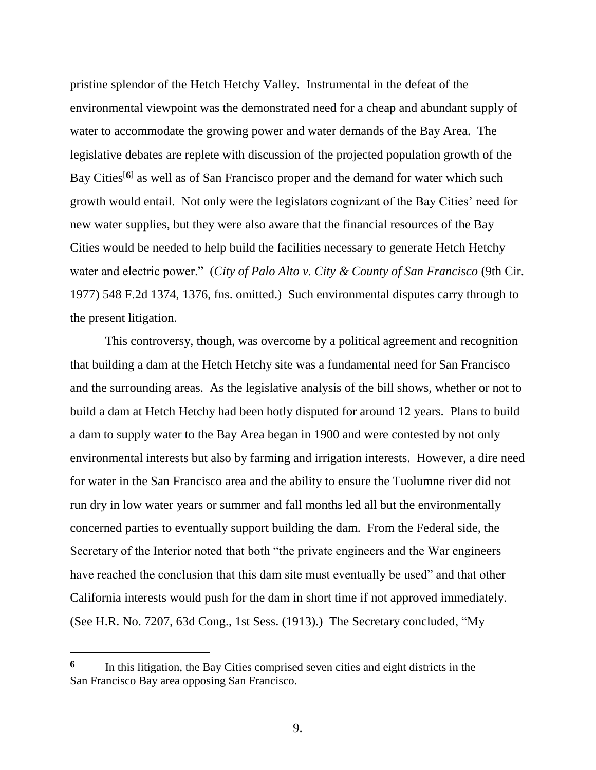pristine splendor of the Hetch Hetchy Valley. Instrumental in the defeat of the environmental viewpoint was the demonstrated need for a cheap and abundant supply of water to accommodate the growing power and water demands of the Bay Area. The legislative debates are replete with discussion of the projected population growth of the Bay Cities<sup>[6]</sup> as well as of San Francisco proper and the demand for water which such growth would entail. Not only were the legislators cognizant of the Bay Cities' need for new water supplies, but they were also aware that the financial resources of the Bay Cities would be needed to help build the facilities necessary to generate Hetch Hetchy water and electric power." (*City of Palo Alto v. City & County of San Francisco* (9th Cir. 1977) 548 F.2d 1374, 1376, fns. omitted.) Such environmental disputes carry through to the present litigation.

This controversy, though, was overcome by a political agreement and recognition that building a dam at the Hetch Hetchy site was a fundamental need for San Francisco and the surrounding areas. As the legislative analysis of the bill shows, whether or not to build a dam at Hetch Hetchy had been hotly disputed for around 12 years. Plans to build a dam to supply water to the Bay Area began in 1900 and were contested by not only environmental interests but also by farming and irrigation interests. However, a dire need for water in the San Francisco area and the ability to ensure the Tuolumne river did not run dry in low water years or summer and fall months led all but the environmentally concerned parties to eventually support building the dam. From the Federal side, the Secretary of the Interior noted that both "the private engineers and the War engineers have reached the conclusion that this dam site must eventually be used" and that other California interests would push for the dam in short time if not approved immediately. (See H.R. No. 7207, 63d Cong., 1st Sess. (1913).) The Secretary concluded, "My

**<sup>6</sup>** In this litigation, the Bay Cities comprised seven cities and eight districts in the San Francisco Bay area opposing San Francisco.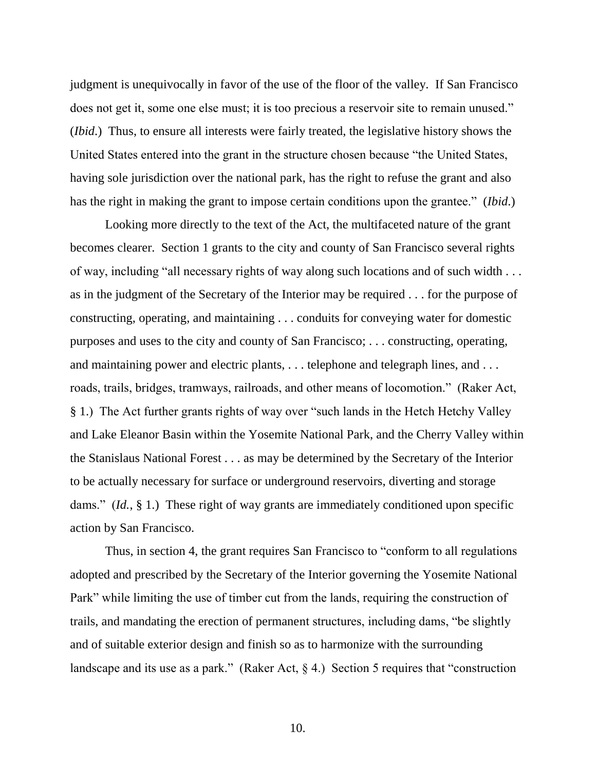judgment is unequivocally in favor of the use of the floor of the valley. If San Francisco does not get it, some one else must; it is too precious a reservoir site to remain unused." (*Ibid*.) Thus, to ensure all interests were fairly treated, the legislative history shows the United States entered into the grant in the structure chosen because "the United States, having sole jurisdiction over the national park, has the right to refuse the grant and also has the right in making the grant to impose certain conditions upon the grantee." (*Ibid*.)

Looking more directly to the text of the Act, the multifaceted nature of the grant becomes clearer. Section 1 grants to the city and county of San Francisco several rights of way, including "all necessary rights of way along such locations and of such width . . . as in the judgment of the Secretary of the Interior may be required . . . for the purpose of constructing, operating, and maintaining . . . conduits for conveying water for domestic purposes and uses to the city and county of San Francisco; . . . constructing, operating, and maintaining power and electric plants, . . . telephone and telegraph lines, and . . . roads, trails, bridges, tramways, railroads, and other means of locomotion." (Raker Act, § 1.) The Act further grants rights of way over "such lands in the Hetch Hetchy Valley and Lake Eleanor Basin within the Yosemite National Park, and the Cherry Valley within the Stanislaus National Forest . . . as may be determined by the Secretary of the Interior to be actually necessary for surface or underground reservoirs, diverting and storage dams." (*Id.*, § 1.) These right of way grants are immediately conditioned upon specific action by San Francisco.

Thus, in section 4, the grant requires San Francisco to "conform to all regulations adopted and prescribed by the Secretary of the Interior governing the Yosemite National Park" while limiting the use of timber cut from the lands, requiring the construction of trails, and mandating the erection of permanent structures, including dams, "be slightly and of suitable exterior design and finish so as to harmonize with the surrounding landscape and its use as a park." (Raker Act, § 4.) Section 5 requires that "construction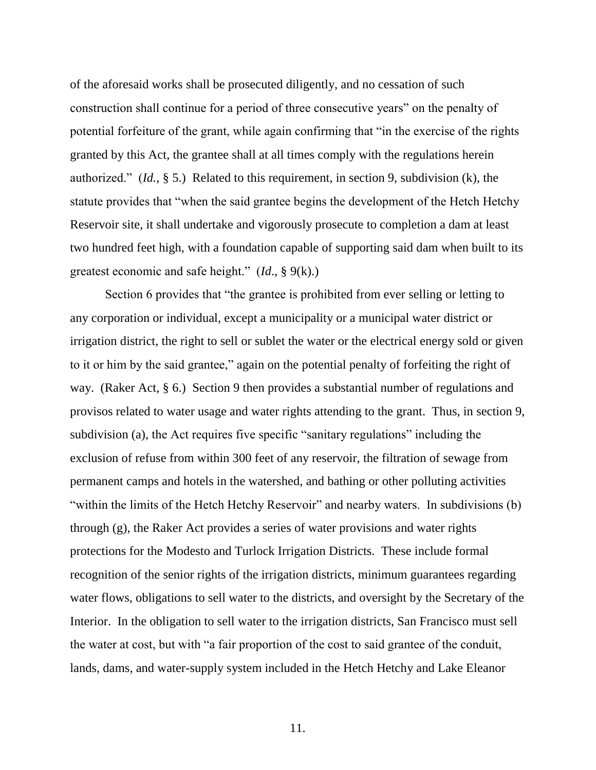of the aforesaid works shall be prosecuted diligently, and no cessation of such construction shall continue for a period of three consecutive years" on the penalty of potential forfeiture of the grant, while again confirming that "in the exercise of the rights granted by this Act, the grantee shall at all times comply with the regulations herein authorized." (*Id.*, § 5.) Related to this requirement, in section 9, subdivision (k), the statute provides that "when the said grantee begins the development of the Hetch Hetchy Reservoir site, it shall undertake and vigorously prosecute to completion a dam at least two hundred feet high, with a foundation capable of supporting said dam when built to its greatest economic and safe height." (*Id*., § 9(k).)

Section 6 provides that "the grantee is prohibited from ever selling or letting to any corporation or individual, except a municipality or a municipal water district or irrigation district, the right to sell or sublet the water or the electrical energy sold or given to it or him by the said grantee," again on the potential penalty of forfeiting the right of way. (Raker Act, § 6.) Section 9 then provides a substantial number of regulations and provisos related to water usage and water rights attending to the grant. Thus, in section 9, subdivision (a), the Act requires five specific "sanitary regulations" including the exclusion of refuse from within 300 feet of any reservoir, the filtration of sewage from permanent camps and hotels in the watershed, and bathing or other polluting activities "within the limits of the Hetch Hetchy Reservoir" and nearby waters. In subdivisions (b) through (g), the Raker Act provides a series of water provisions and water rights protections for the Modesto and Turlock Irrigation Districts. These include formal recognition of the senior rights of the irrigation districts, minimum guarantees regarding water flows, obligations to sell water to the districts, and oversight by the Secretary of the Interior. In the obligation to sell water to the irrigation districts, San Francisco must sell the water at cost, but with "a fair proportion of the cost to said grantee of the conduit, lands, dams, and water-supply system included in the Hetch Hetchy and Lake Eleanor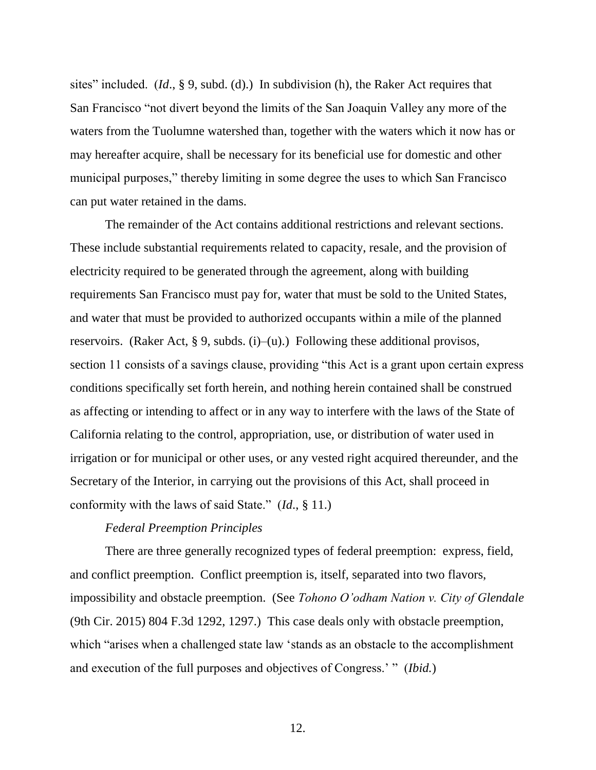sites" included. (*Id*., § 9, subd. (d).) In subdivision (h), the Raker Act requires that San Francisco "not divert beyond the limits of the San Joaquin Valley any more of the waters from the Tuolumne watershed than, together with the waters which it now has or may hereafter acquire, shall be necessary for its beneficial use for domestic and other municipal purposes," thereby limiting in some degree the uses to which San Francisco can put water retained in the dams.

The remainder of the Act contains additional restrictions and relevant sections. These include substantial requirements related to capacity, resale, and the provision of electricity required to be generated through the agreement, along with building requirements San Francisco must pay for, water that must be sold to the United States, and water that must be provided to authorized occupants within a mile of the planned reservoirs. (Raker Act, § 9, subds. (i)–(u).) Following these additional provisos, section 11 consists of a savings clause, providing "this Act is a grant upon certain express conditions specifically set forth herein, and nothing herein contained shall be construed as affecting or intending to affect or in any way to interfere with the laws of the State of California relating to the control, appropriation, use, or distribution of water used in irrigation or for municipal or other uses, or any vested right acquired thereunder, and the Secretary of the Interior, in carrying out the provisions of this Act, shall proceed in conformity with the laws of said State." (*Id*., § 11.)

#### *Federal Preemption Principles*

There are three generally recognized types of federal preemption: express, field, and conflict preemption. Conflict preemption is, itself, separated into two flavors, impossibility and obstacle preemption. (See *Tohono O'odham Nation v. City of Glendale*  (9th Cir. 2015) 804 F.3d 1292, 1297.) This case deals only with obstacle preemption, which "arises when a challenged state law 'stands as an obstacle to the accomplishment and execution of the full purposes and objectives of Congress.' " (*Ibid.*)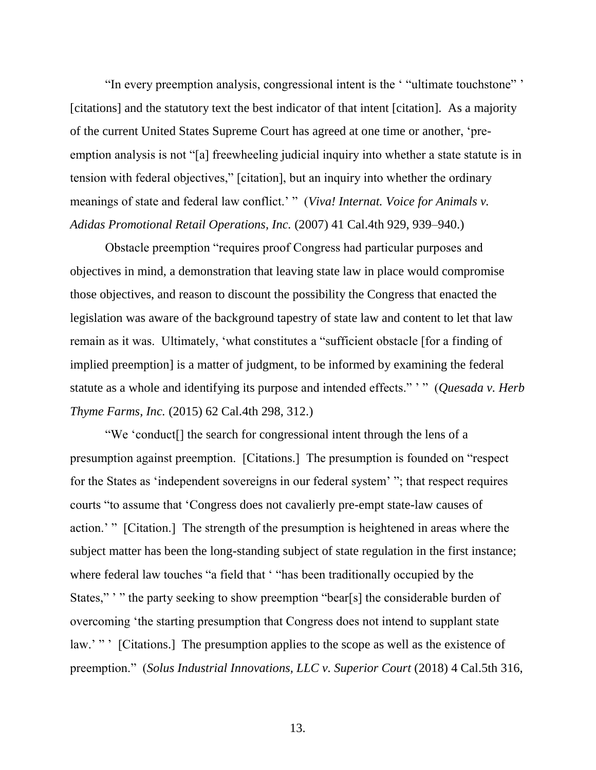"In every preemption analysis, congressional intent is the ' "ultimate touchstone" ' [citations] and the statutory text the best indicator of that intent [citation]. As a majority of the current United States Supreme Court has agreed at one time or another, 'preemption analysis is not "[a] freewheeling judicial inquiry into whether a state statute is in tension with federal objectives," [citation], but an inquiry into whether the ordinary meanings of state and federal law conflict.' " (*Viva! Internat. Voice for Animals v. Adidas Promotional Retail Operations, Inc.* (2007) 41 Cal.4th 929, 939–940.)

Obstacle preemption "requires proof Congress had particular purposes and objectives in mind, a demonstration that leaving state law in place would compromise those objectives, and reason to discount the possibility the Congress that enacted the legislation was aware of the background tapestry of state law and content to let that law remain as it was. Ultimately, 'what constitutes a "sufficient obstacle [for a finding of implied preemption] is a matter of judgment, to be informed by examining the federal statute as a whole and identifying its purpose and intended effects." ' " (*Quesada v. Herb Thyme Farms, Inc.* (2015) 62 Cal.4th 298, 312.)

"We 'conduct[] the search for congressional intent through the lens of a presumption against preemption. [Citations.] The presumption is founded on "respect for the States as 'independent sovereigns in our federal system' "; that respect requires courts "to assume that 'Congress does not cavalierly pre-empt state-law causes of action.' " [Citation.] The strength of the presumption is heightened in areas where the subject matter has been the long-standing subject of state regulation in the first instance; where federal law touches "a field that ' "has been traditionally occupied by the States,"" " the party seeking to show preemption "bear[s] the considerable burden of overcoming 'the starting presumption that Congress does not intend to supplant state law.'" ' [Citations.] The presumption applies to the scope as well as the existence of preemption." (*Solus Industrial Innovations, LLC v. Superior Court* (2018) 4 Cal.5th 316,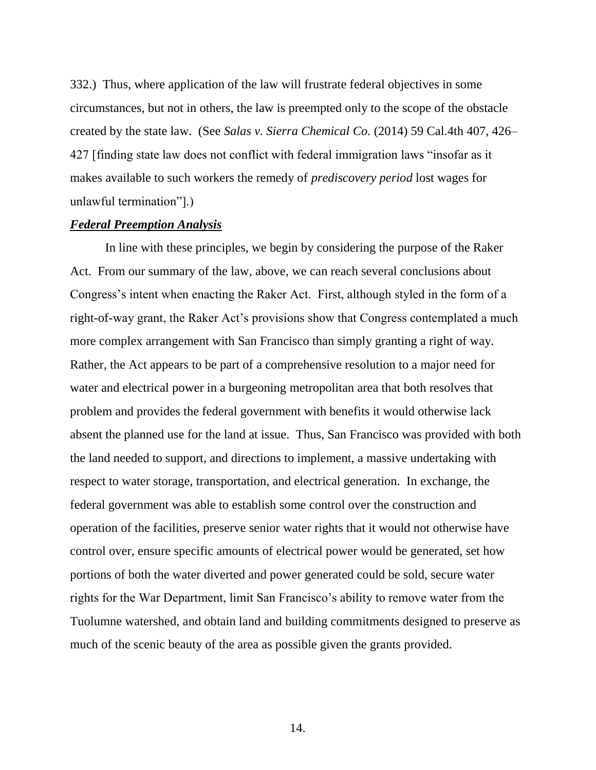332.) Thus, where application of the law will frustrate federal objectives in some circumstances, but not in others, the law is preempted only to the scope of the obstacle created by the state law. (See *Salas v. Sierra Chemical Co.* (2014) 59 Cal.4th 407, 426– 427 [finding state law does not conflict with federal immigration laws "insofar as it makes available to such workers the remedy of *prediscovery period* lost wages for unlawful termination"].)

#### *Federal Preemption Analysis*

In line with these principles, we begin by considering the purpose of the Raker Act. From our summary of the law, above, we can reach several conclusions about Congress's intent when enacting the Raker Act. First, although styled in the form of a right-of-way grant, the Raker Act's provisions show that Congress contemplated a much more complex arrangement with San Francisco than simply granting a right of way. Rather, the Act appears to be part of a comprehensive resolution to a major need for water and electrical power in a burgeoning metropolitan area that both resolves that problem and provides the federal government with benefits it would otherwise lack absent the planned use for the land at issue. Thus, San Francisco was provided with both the land needed to support, and directions to implement, a massive undertaking with respect to water storage, transportation, and electrical generation. In exchange, the federal government was able to establish some control over the construction and operation of the facilities, preserve senior water rights that it would not otherwise have control over, ensure specific amounts of electrical power would be generated, set how portions of both the water diverted and power generated could be sold, secure water rights for the War Department, limit San Francisco's ability to remove water from the Tuolumne watershed, and obtain land and building commitments designed to preserve as much of the scenic beauty of the area as possible given the grants provided.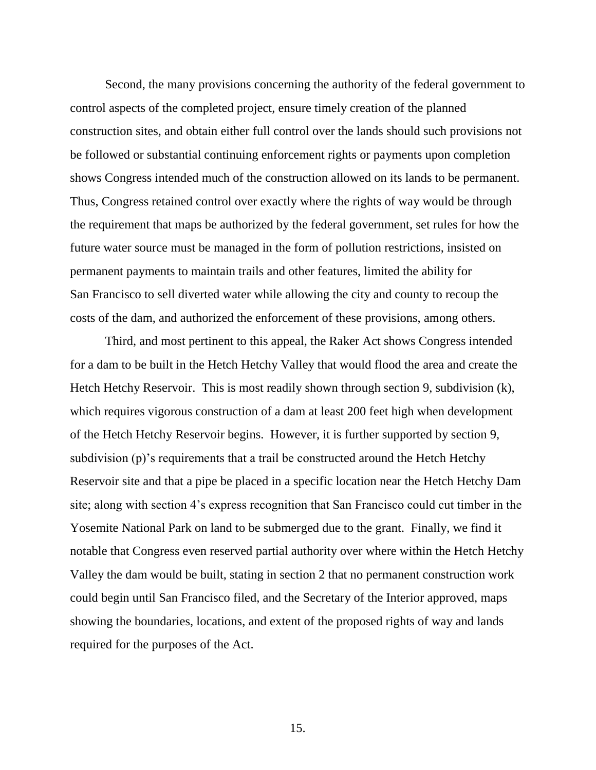Second, the many provisions concerning the authority of the federal government to control aspects of the completed project, ensure timely creation of the planned construction sites, and obtain either full control over the lands should such provisions not be followed or substantial continuing enforcement rights or payments upon completion shows Congress intended much of the construction allowed on its lands to be permanent. Thus, Congress retained control over exactly where the rights of way would be through the requirement that maps be authorized by the federal government, set rules for how the future water source must be managed in the form of pollution restrictions, insisted on permanent payments to maintain trails and other features, limited the ability for San Francisco to sell diverted water while allowing the city and county to recoup the costs of the dam, and authorized the enforcement of these provisions, among others.

Third, and most pertinent to this appeal, the Raker Act shows Congress intended for a dam to be built in the Hetch Hetchy Valley that would flood the area and create the Hetch Hetchy Reservoir. This is most readily shown through section 9, subdivision (k), which requires vigorous construction of a dam at least 200 feet high when development of the Hetch Hetchy Reservoir begins. However, it is further supported by section 9, subdivision (p)'s requirements that a trail be constructed around the Hetch Hetchy Reservoir site and that a pipe be placed in a specific location near the Hetch Hetchy Dam site; along with section 4's express recognition that San Francisco could cut timber in the Yosemite National Park on land to be submerged due to the grant. Finally, we find it notable that Congress even reserved partial authority over where within the Hetch Hetchy Valley the dam would be built, stating in section 2 that no permanent construction work could begin until San Francisco filed, and the Secretary of the Interior approved, maps showing the boundaries, locations, and extent of the proposed rights of way and lands required for the purposes of the Act.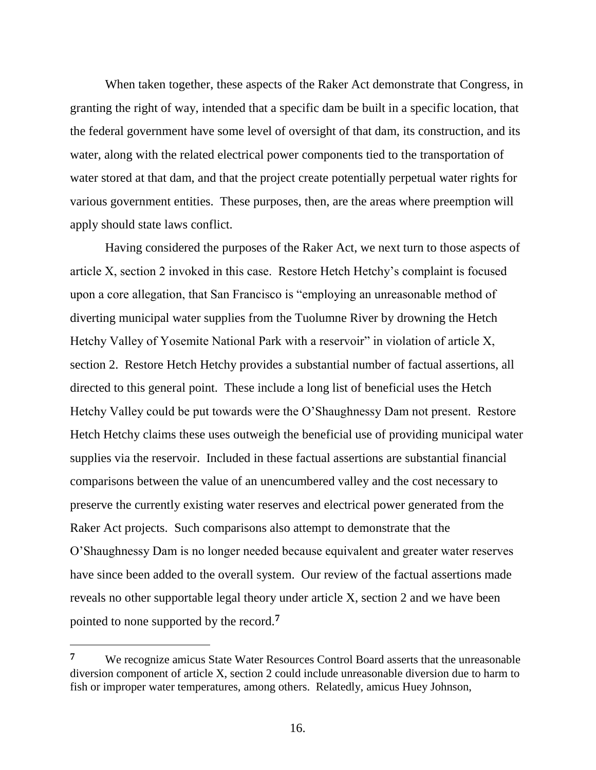When taken together, these aspects of the Raker Act demonstrate that Congress, in granting the right of way, intended that a specific dam be built in a specific location, that the federal government have some level of oversight of that dam, its construction, and its water, along with the related electrical power components tied to the transportation of water stored at that dam, and that the project create potentially perpetual water rights for various government entities. These purposes, then, are the areas where preemption will apply should state laws conflict.

Having considered the purposes of the Raker Act, we next turn to those aspects of article X, section 2 invoked in this case. Restore Hetch Hetchy's complaint is focused upon a core allegation, that San Francisco is "employing an unreasonable method of diverting municipal water supplies from the Tuolumne River by drowning the Hetch Hetchy Valley of Yosemite National Park with a reservoir" in violation of article X, section 2. Restore Hetch Hetchy provides a substantial number of factual assertions, all directed to this general point. These include a long list of beneficial uses the Hetch Hetchy Valley could be put towards were the O'Shaughnessy Dam not present. Restore Hetch Hetchy claims these uses outweigh the beneficial use of providing municipal water supplies via the reservoir. Included in these factual assertions are substantial financial comparisons between the value of an unencumbered valley and the cost necessary to preserve the currently existing water reserves and electrical power generated from the Raker Act projects. Such comparisons also attempt to demonstrate that the O'Shaughnessy Dam is no longer needed because equivalent and greater water reserves have since been added to the overall system. Our review of the factual assertions made reveals no other supportable legal theory under article X, section 2 and we have been pointed to none supported by the record.**<sup>7</sup>**

**<sup>7</sup>** We recognize amicus State Water Resources Control Board asserts that the unreasonable diversion component of article X, section 2 could include unreasonable diversion due to harm to fish or improper water temperatures, among others. Relatedly, amicus Huey Johnson,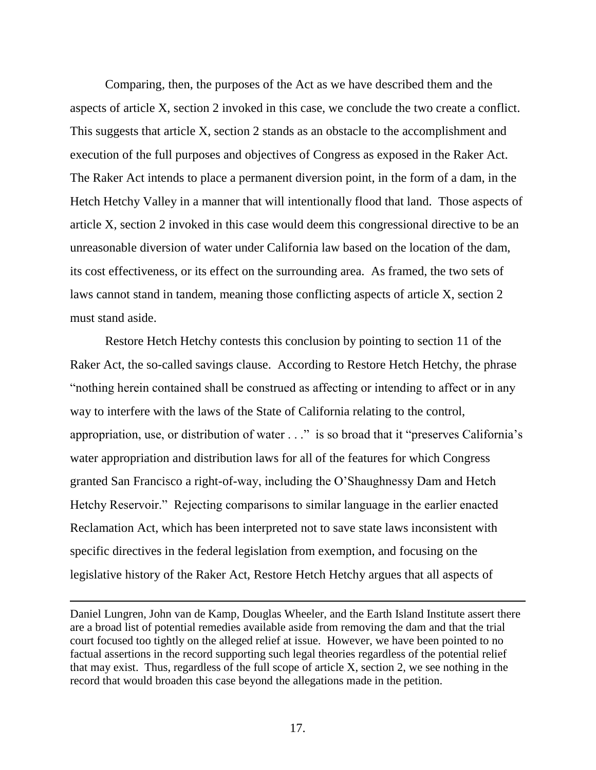Comparing, then, the purposes of the Act as we have described them and the aspects of article X, section 2 invoked in this case, we conclude the two create a conflict. This suggests that article X, section 2 stands as an obstacle to the accomplishment and execution of the full purposes and objectives of Congress as exposed in the Raker Act. The Raker Act intends to place a permanent diversion point, in the form of a dam, in the Hetch Hetchy Valley in a manner that will intentionally flood that land. Those aspects of article X, section 2 invoked in this case would deem this congressional directive to be an unreasonable diversion of water under California law based on the location of the dam, its cost effectiveness, or its effect on the surrounding area. As framed, the two sets of laws cannot stand in tandem, meaning those conflicting aspects of article X, section 2 must stand aside.

Restore Hetch Hetchy contests this conclusion by pointing to section 11 of the Raker Act, the so-called savings clause. According to Restore Hetch Hetchy, the phrase "nothing herein contained shall be construed as affecting or intending to affect or in any way to interfere with the laws of the State of California relating to the control, appropriation, use, or distribution of water . . ." is so broad that it "preserves California's water appropriation and distribution laws for all of the features for which Congress granted San Francisco a right-of-way, including the O'Shaughnessy Dam and Hetch Hetchy Reservoir." Rejecting comparisons to similar language in the earlier enacted Reclamation Act, which has been interpreted not to save state laws inconsistent with specific directives in the federal legislation from exemption, and focusing on the legislative history of the Raker Act, Restore Hetch Hetchy argues that all aspects of

Daniel Lungren, John van de Kamp, Douglas Wheeler, and the Earth Island Institute assert there are a broad list of potential remedies available aside from removing the dam and that the trial court focused too tightly on the alleged relief at issue. However, we have been pointed to no factual assertions in the record supporting such legal theories regardless of the potential relief that may exist. Thus, regardless of the full scope of article X, section 2, we see nothing in the record that would broaden this case beyond the allegations made in the petition.

 $\overline{a}$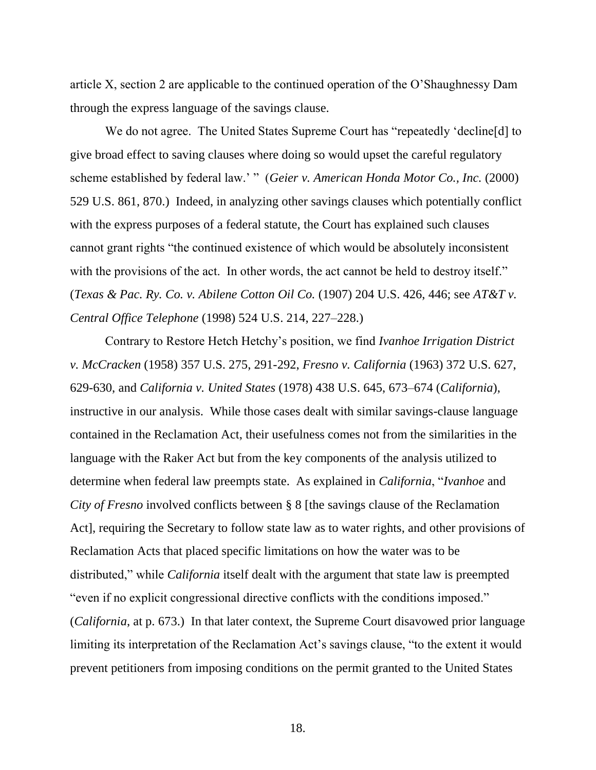article X, section 2 are applicable to the continued operation of the O'Shaughnessy Dam through the express language of the savings clause.

We do not agree. The United States Supreme Court has "repeatedly 'decline[d] to give broad effect to saving clauses where doing so would upset the careful regulatory scheme established by federal law.' " (*Geier v. American Honda Motor Co., Inc.* (2000) 529 U.S. 861, 870.) Indeed, in analyzing other savings clauses which potentially conflict with the express purposes of a federal statute, the Court has explained such clauses cannot grant rights "the continued existence of which would be absolutely inconsistent with the provisions of the act. In other words, the act cannot be held to destroy itself." (*Texas & Pac. Ry. Co. v. Abilene Cotton Oil Co.* (1907) 204 U.S. 426, 446; see *AT&T v. Central Office Telephone* (1998) 524 U.S. 214, 227–228.)

Contrary to Restore Hetch Hetchy's position, we find *Ivanhoe Irrigation District v. McCracken* (1958) 357 U.S. 275, 291-292, *Fresno v. California* (1963) 372 U.S. 627, 629-630, and *California v. United States* (1978) 438 U.S. 645, 673–674 (*California*), instructive in our analysis. While those cases dealt with similar savings-clause language contained in the Reclamation Act, their usefulness comes not from the similarities in the language with the Raker Act but from the key components of the analysis utilized to determine when federal law preempts state. As explained in *California*, "*Ivanhoe* and *City of Fresno* involved conflicts between § 8 [the savings clause of the Reclamation Act], requiring the Secretary to follow state law as to water rights, and other provisions of Reclamation Acts that placed specific limitations on how the water was to be distributed," while *California* itself dealt with the argument that state law is preempted "even if no explicit congressional directive conflicts with the conditions imposed." (*California*, at p. 673.) In that later context, the Supreme Court disavowed prior language limiting its interpretation of the Reclamation Act's savings clause, "to the extent it would prevent petitioners from imposing conditions on the permit granted to the United States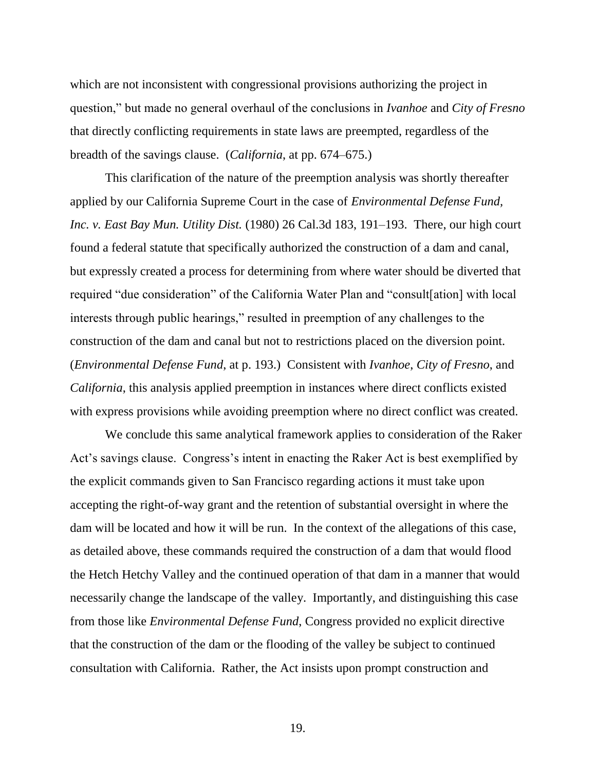which are not inconsistent with congressional provisions authorizing the project in question," but made no general overhaul of the conclusions in *Ivanhoe* and *City of Fresno* that directly conflicting requirements in state laws are preempted, regardless of the breadth of the savings clause. (*California*, at pp. 674–675.)

This clarification of the nature of the preemption analysis was shortly thereafter applied by our California Supreme Court in the case of *Environmental Defense Fund, Inc. v. East Bay Mun. Utility Dist.* (1980) 26 Cal.3d 183, 191–193. There, our high court found a federal statute that specifically authorized the construction of a dam and canal, but expressly created a process for determining from where water should be diverted that required "due consideration" of the California Water Plan and "consult[ation] with local interests through public hearings," resulted in preemption of any challenges to the construction of the dam and canal but not to restrictions placed on the diversion point. (*Environmental Defense Fund*, at p. 193.) Consistent with *Ivanhoe*, *City of Fresno*, and *California*, this analysis applied preemption in instances where direct conflicts existed with express provisions while avoiding preemption where no direct conflict was created.

We conclude this same analytical framework applies to consideration of the Raker Act's savings clause. Congress's intent in enacting the Raker Act is best exemplified by the explicit commands given to San Francisco regarding actions it must take upon accepting the right-of-way grant and the retention of substantial oversight in where the dam will be located and how it will be run. In the context of the allegations of this case, as detailed above, these commands required the construction of a dam that would flood the Hetch Hetchy Valley and the continued operation of that dam in a manner that would necessarily change the landscape of the valley. Importantly, and distinguishing this case from those like *Environmental Defense Fund*, Congress provided no explicit directive that the construction of the dam or the flooding of the valley be subject to continued consultation with California. Rather, the Act insists upon prompt construction and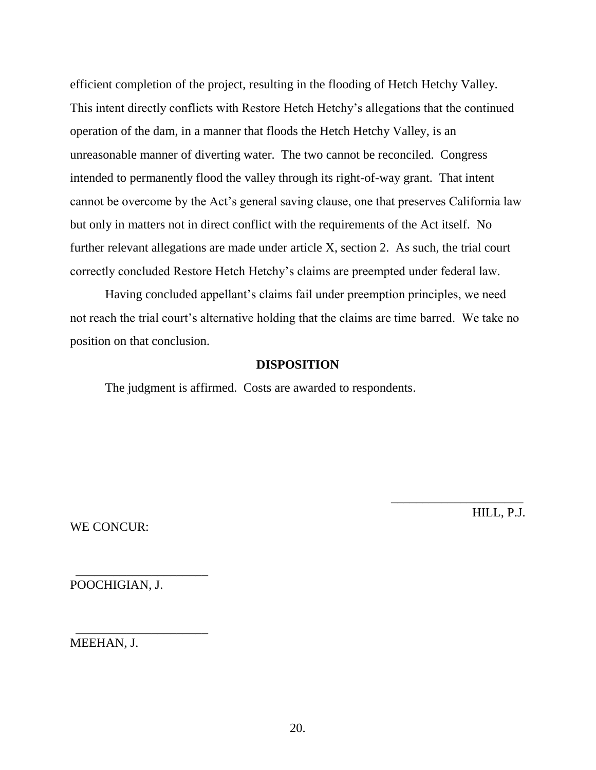efficient completion of the project, resulting in the flooding of Hetch Hetchy Valley. This intent directly conflicts with Restore Hetch Hetchy's allegations that the continued operation of the dam, in a manner that floods the Hetch Hetchy Valley, is an unreasonable manner of diverting water. The two cannot be reconciled. Congress intended to permanently flood the valley through its right-of-way grant. That intent cannot be overcome by the Act's general saving clause, one that preserves California law but only in matters not in direct conflict with the requirements of the Act itself. No further relevant allegations are made under article X, section 2. As such, the trial court correctly concluded Restore Hetch Hetchy's claims are preempted under federal law.

Having concluded appellant's claims fail under preemption principles, we need not reach the trial court's alternative holding that the claims are time barred. We take no position on that conclusion.

#### **DISPOSITION**

The judgment is affirmed. Costs are awarded to respondents.

WE CONCUR:

HILL, P.J.

\_\_\_\_\_\_\_\_\_\_\_\_\_\_\_\_\_\_\_\_\_

POOCHIGIAN, J.

\_\_\_\_\_\_\_\_\_\_\_\_\_\_\_\_\_\_\_\_\_

\_\_\_\_\_\_\_\_\_\_\_\_\_\_\_\_\_\_\_\_\_

MEEHAN, J.